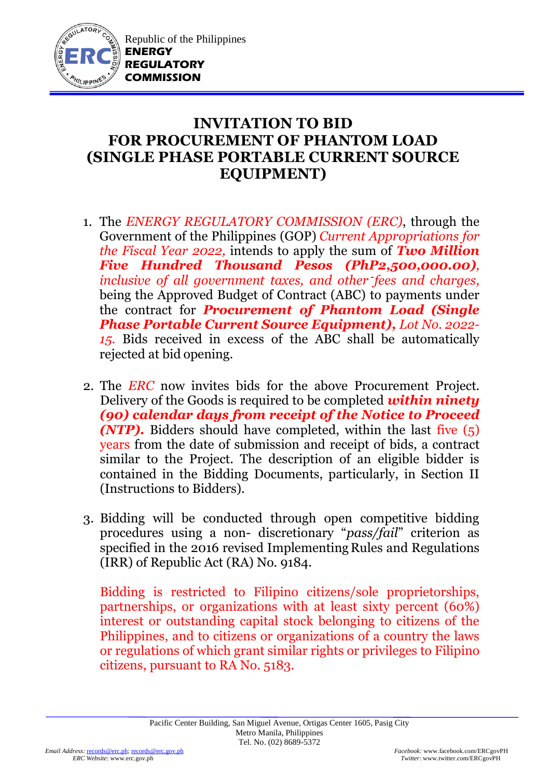

## **INVITATION TO BID FOR PROCUREMENT OF PHANTOM LOAD (SINGLE PHASE PORTABLE CURRENT SOURCE EQUIPMENT)**

- 1. The *ENERGY REGULATORY COMMISSION (ERC)*, through the Government of the Philippines (GOP) *Current Appropriations for the Fiscal Year 2022,* intends to apply the sum of *Two Million Five Hundred Thousand Pesos (PhP2,500,000.00), inclusive of all government taxes, and other fees and charges,* being the Approved Budget of Contract (ABC) to payments under the contract for *Procurement of Phantom Load (Single Phase Portable Current Source Equipment), Lot No. 2022- 15.* Bids received in excess of the ABC shall be automatically rejected at bid opening.
- 2. The *ERC* now invites bids for the above Procurement Project. Delivery of the Goods is required to be completed *within ninety (90) calendar days from receipt of the Notice to Proceed (NTP).* Bidders should have completed, within the last five (5) years from the date of submission and receipt of bids, a contract similar to the Project. The description of an eligible bidder is contained in the Bidding Documents, particularly, in Section II (Instructions to Bidders).
- 3. Bidding will be conducted through open competitive bidding procedures using a non- discretionary "*pass/fail*" criterion as specified in the 2016 revised Implementing Rules and Regulations (IRR) of Republic Act (RA) No. 9184.

Bidding is restricted to Filipino citizens/sole proprietorships, partnerships, or organizations with at least sixty percent (60%) interest or outstanding capital stock belonging to citizens of the Philippines, and to citizens or organizations of a country the laws or regulations of which grant similar rights or privileges to Filipino citizens, pursuant to RA No. 5183.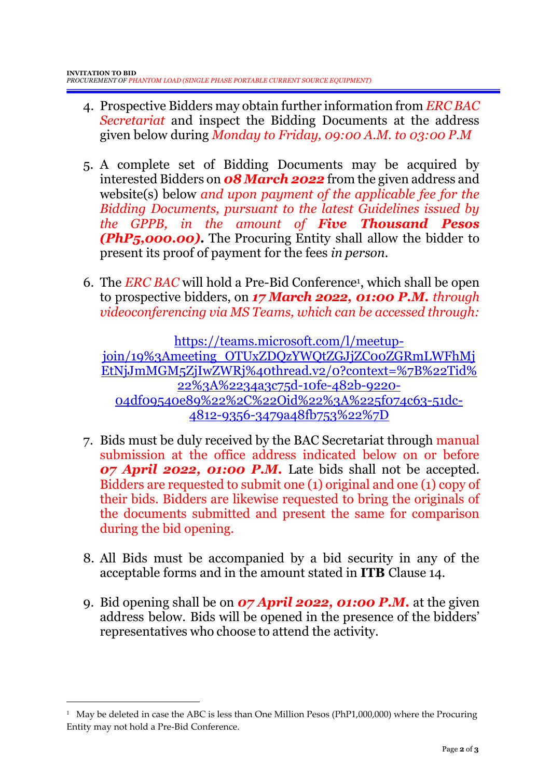- 4. Prospective Bidders may obtain further information from *ERC BAC Secretariat* and inspect the Bidding Documents at the address given below during *Monday to Friday, 09:00 A.M. to 03:00 P.M*
- 5. A complete set of Bidding Documents may be acquired by interested Bidders on *08 March 2022* from the given address and website(s) below *and upon payment of the applicable fee for the Bidding Documents, pursuant to the latest Guidelines issued by the GPPB, in the amount of Five Thousand Pesos (PhP5,000.00)***.** The Procuring Entity shall allow the bidder to present its proof of payment for the fees *in person.*
- 6. The *ERC BAC* will hold a Pre-Bid Conference<sup>1</sup> , which shall be open to prospective bidders, on *17 March 2022, 01:00 P.M. through videoconferencing via MS Teams, which can be accessed through:*

[https://teams.microsoft.com/l/meetup](https://teams.microsoft.com/l/meetup-join/19%3Ameeting_OTUxZDQzYWQtZGJjZC00ZGRmLWFhMjEtNjJmMGM5ZjIwZWRj%40thread.v2/0?context=%7B%22Tid%22%3A%2234a3c75d-10fe-482b-9220-04df09540e89%22%2C%22Oid%22%3A%225f074c63-51dc-4812-9356-3479a48fb753%22%7D)[join/19%3Ameeting\\_OTUxZDQzYWQtZGJjZC00ZGRmLWFhMj](https://teams.microsoft.com/l/meetup-join/19%3Ameeting_OTUxZDQzYWQtZGJjZC00ZGRmLWFhMjEtNjJmMGM5ZjIwZWRj%40thread.v2/0?context=%7B%22Tid%22%3A%2234a3c75d-10fe-482b-9220-04df09540e89%22%2C%22Oid%22%3A%225f074c63-51dc-4812-9356-3479a48fb753%22%7D) [EtNjJmMGM5ZjIwZWRj%40thread.v2/0?context=%7B%22Tid%](https://teams.microsoft.com/l/meetup-join/19%3Ameeting_OTUxZDQzYWQtZGJjZC00ZGRmLWFhMjEtNjJmMGM5ZjIwZWRj%40thread.v2/0?context=%7B%22Tid%22%3A%2234a3c75d-10fe-482b-9220-04df09540e89%22%2C%22Oid%22%3A%225f074c63-51dc-4812-9356-3479a48fb753%22%7D) [22%3A%2234a3c75d-10fe-482b-9220-](https://teams.microsoft.com/l/meetup-join/19%3Ameeting_OTUxZDQzYWQtZGJjZC00ZGRmLWFhMjEtNjJmMGM5ZjIwZWRj%40thread.v2/0?context=%7B%22Tid%22%3A%2234a3c75d-10fe-482b-9220-04df09540e89%22%2C%22Oid%22%3A%225f074c63-51dc-4812-9356-3479a48fb753%22%7D) [04df09540e89%22%2C%22Oid%22%3A%225f074c63-51dc-](https://teams.microsoft.com/l/meetup-join/19%3Ameeting_OTUxZDQzYWQtZGJjZC00ZGRmLWFhMjEtNjJmMGM5ZjIwZWRj%40thread.v2/0?context=%7B%22Tid%22%3A%2234a3c75d-10fe-482b-9220-04df09540e89%22%2C%22Oid%22%3A%225f074c63-51dc-4812-9356-3479a48fb753%22%7D)[4812-9356-3479a48fb753%22%7D](https://teams.microsoft.com/l/meetup-join/19%3Ameeting_OTUxZDQzYWQtZGJjZC00ZGRmLWFhMjEtNjJmMGM5ZjIwZWRj%40thread.v2/0?context=%7B%22Tid%22%3A%2234a3c75d-10fe-482b-9220-04df09540e89%22%2C%22Oid%22%3A%225f074c63-51dc-4812-9356-3479a48fb753%22%7D)

- 7. Bids must be duly received by the BAC Secretariat through manual submission at the office address indicated below on or before *07 April 2022, 01:00 P.M.* Late bids shall not be accepted. Bidders are requested to submit one (1) original and one (1) copy of their bids. Bidders are likewise requested to bring the originals of the documents submitted and present the same for comparison during the bid opening.
- 8. All Bids must be accompanied by a bid security in any of the acceptable forms and in the amount stated in **ITB** Clause 14.
- 9. Bid opening shall be on *07 April 2022, 01:00 P.M.* at the given address below. Bids will be opened in the presence of the bidders' representatives who choose to attend the activity.

<u>.</u>

<sup>1</sup> May be deleted in case the ABC is less than One Million Pesos (PhP1,000,000) where the Procuring Entity may not hold a Pre-Bid Conference.